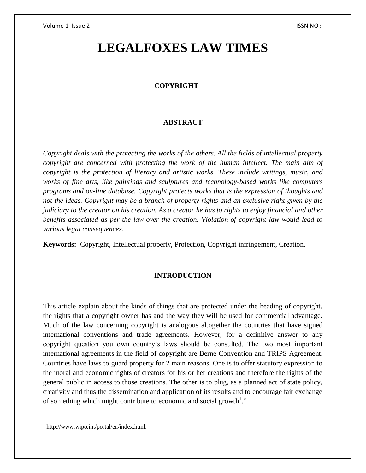# **LEGALFOXES LAW TIMES**

### **COPYRIGHT**

#### **ABSTRACT**

*Copyright deals with the protecting the works of the others. All the fields of intellectual property copyright are concerned with protecting the work of the human intellect. The main aim of copyright is the protection of literacy and artistic works. These include writings, music, and works of fine arts, like paintings and sculptures and technology-based works like computers programs and on-line database. Copyright protects works that is the expression of thoughts and not the ideas. Copyright may be a branch of property rights and an exclusive right given by the judiciary to the creator on his creation. As a creator he has to rights to enjoy financial and other benefits associated as per the law over the creation. Violation of copyright law would lead to various legal consequences.*

**Keywords:** Copyright, Intellectual property, Protection, Copyright infringement, Creation.

#### **INTRODUCTION**

This article explain about the kinds of things that are protected under the heading of copyright, the rights that a copyright owner has and the way they will be used for commercial advantage. Much of the law concerning copyright is analogous altogether the countries that have signed international conventions and trade agreements. However, for a definitive answer to any copyright question you own country's laws should be consulted. The two most important international agreements in the field of copyright are Berne Convention and TRIPS Agreement. Countries have laws to guard property for 2 main reasons. One is to offer statutory expression to the moral and economic rights of creators for his or her creations and therefore the rights of the general public in access to those creations. The other is to plug, as a planned act of state policy, creativity and thus the dissemination and application of its results and to encourage fair exchange of something which might contribute to economic and social growth<sup>1</sup>."

<sup>1</sup> http://www.wipo.int/portal/en/index.html.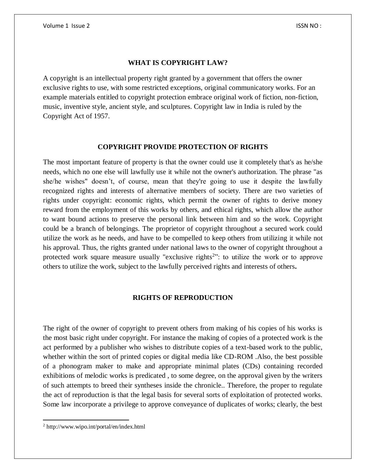#### **WHAT IS COPYRIGHT LAW?**

A copyright is an intellectual property right granted by a government that offers the owner exclusive rights to use, with some restricted exceptions, original communicatory works. For an example materials entitled to copyright protection embrace original work of fiction, non-fiction, music, inventive style, ancient style, and sculptures. Copyright law in India is ruled by the Copyright Act of 1957.

#### **COPYRIGHT PROVIDE PROTECTION OF RIGHTS**

The most important feature of property is that the owner could use it completely that's as he/she needs, which no one else will lawfully use it while not the owner's authorization. The phrase "as she/he wishes" doesn't, of course, mean that they're going to use it despite the lawfully recognized rights and interests of alternative members of society. There are two varieties of rights under copyright: economic rights, which permit the owner of rights to derive money reward from the employment of this works by others, and ethical rights, which allow the author to want bound actions to preserve the personal link between him and so the work. Copyright could be a branch of belongings. The proprietor of copyright throughout a secured work could utilize the work as he needs, and have to be compelled to keep others from utilizing it while not his approval. Thus, the rights granted under national laws to the owner of copyright throughout a protected work square measure usually "exclusive rights<sup>2</sup>": to utilize the work or to approve others to utilize the work, subject to the lawfully perceived rights and interests of others**.**

#### **RIGHTS OF REPRODUCTION**

The right of the owner of copyright to prevent others from making of his copies of his works is the most basic right under copyright. For instance the making of copies of a protected work is the act performed by a publisher who wishes to distribute copies of a text-based work to the public, whether within the sort of printed copies or digital media like CD-ROM .Also, the best possible of a phonogram maker to make and appropriate minimal plates (CDs) containing recorded exhibitions of melodic works is predicated , to some degree, on the approval given by the writers of such attempts to breed their syntheses inside the chronicle.. Therefore, the proper to regulate the act of reproduction is that the legal basis for several sorts of exploitation of protected works. Some law incorporate a privilege to approve conveyance of duplicates of works; clearly, the best

<sup>2</sup> http://www.wipo.int/portal/en/index.html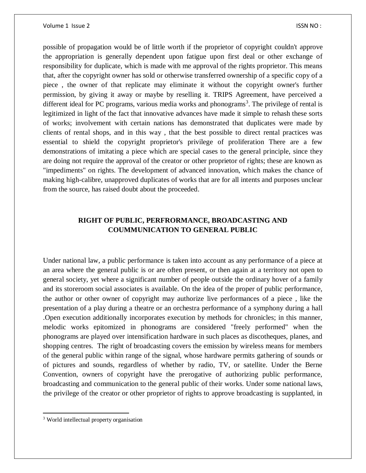possible of propagation would be of little worth if the proprietor of copyright couldn't approve the appropriation is generally dependent upon fatigue upon first deal or other exchange of responsibility for duplicate, which is made with me approval of the rights proprietor. This means that, after the copyright owner has sold or otherwise transferred ownership of a specific copy of a piece , the owner of that replicate may eliminate it without the copyright owner's further permission, by giving it away or maybe by reselling it. TRIPS Agreement, have perceived a different ideal for PC programs, various media works and phonograms<sup>3</sup>. The privilege of rental is legitimized in light of the fact that innovative advances have made it simple to rehash these sorts of works; involvement with certain nations has demonstrated that duplicates were made by clients of rental shops, and in this way , that the best possible to direct rental practices was essential to shield the copyright proprietor's privilege of proliferation There are a few demonstrations of imitating a piece which are special cases to the general principle, since they are doing not require the approval of the creator or other proprietor of rights; these are known as "impediments" on rights. The development of advanced innovation, which makes the chance of making high-calibre, unapproved duplicates of works that are for all intents and purposes unclear from the source, has raised doubt about the proceeded.

# **RIGHT OF PUBLIC, PERFRORMANCE, BROADCASTING AND COUMMUNICATION TO GENERAL PUBLIC**

Under national law, a public performance is taken into account as any performance of a piece at an area where the general public is or are often present, or then again at a territory not open to general society, yet where a significant number of people outside the ordinary hover of a family and its storeroom social associates is available. On the idea of the proper of public performance, the author or other owner of copyright may authorize live performances of a piece , like the presentation of a play during a theatre or an orchestra performance of a symphony during a hall .Open execution additionally incorporates execution by methods for chronicles; in this manner, melodic works epitomized in phonograms are considered "freely performed" when the phonograms are played over intensification hardware in such places as discotheques, planes, and shopping centres. The right of broadcasting covers the emission by wireless means for members of the general public within range of the signal, whose hardware permits gathering of sounds or of pictures and sounds, regardless of whether by radio, TV, or satellite. Under the Berne Convention, owners of copyright have the prerogative of authorizing public performance, broadcasting and communication to the general public of their works. Under some national laws, the privilege of the creator or other proprietor of rights to approve broadcasting is supplanted, in

 $\overline{\phantom{a}}$ 

<sup>3</sup> World intellectual property organisation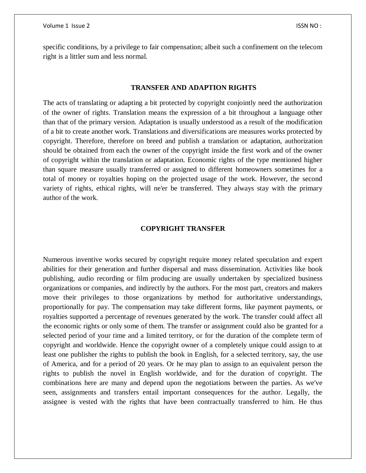specific conditions, by a privilege to fair compensation; albeit such a confinement on the telecom right is a littler sum and less normal.

#### **TRANSFER AND ADAPTION RIGHTS**

The acts of translating or adapting a bit protected by copyright conjointly need the authorization of the owner of rights. Translation means the expression of a bit throughout a language other than that of the primary version. Adaptation is usually understood as a result of the modification of a bit to create another work. Translations and diversifications are measures works protected by copyright. Therefore, therefore on breed and publish a translation or adaptation, authorization should be obtained from each the owner of the copyright inside the first work and of the owner of copyright within the translation or adaptation. Economic rights of the type mentioned higher than square measure usually transferred or assigned to different homeowners sometimes for a total of money or royalties hoping on the projected usage of the work. However, the second variety of rights, ethical rights, will ne'er be transferred. They always stay with the primary author of the work.

#### **COPYRIGHT TRANSFER**

Numerous inventive works secured by copyright require money related speculation and expert abilities for their generation and further dispersal and mass dissemination. Activities like book publishing, audio recording or film producing are usually undertaken by specialized business organizations or companies, and indirectly by the authors. For the most part, creators and makers move their privileges to those organizations by method for authoritative understandings, proportionally for pay. The compensation may take different forms, like payment payments, or royalties supported a percentage of revenues generated by the work. The transfer could affect all the economic rights or only some of them. The transfer or assignment could also be granted for a selected period of your time and a limited territory, or for the duration of the complete term of copyright and worldwide. Hence the copyright owner of a completely unique could assign to at least one publisher the rights to publish the book in English, for a selected territory, say, the use of America, and for a period of 20 years. Or he may plan to assign to an equivalent person the rights to publish the novel in English worldwide, and for the duration of copyright. The combinations here are many and depend upon the negotiations between the parties. As we've seen, assignments and transfers entail important consequences for the author. Legally, the assignee is vested with the rights that have been contractually transferred to him. He thus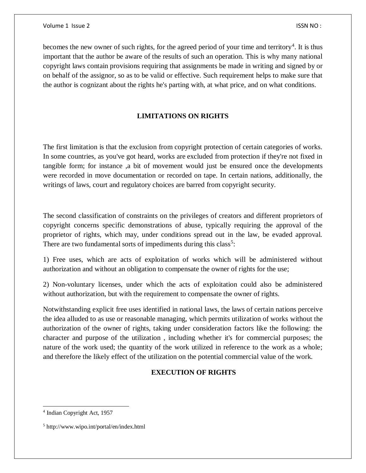becomes the new owner of such rights, for the agreed period of your time and territory<sup>4</sup>. It is thus important that the author be aware of the results of such an operation. This is why many national copyright laws contain provisions requiring that assignments be made in writing and signed by or on behalf of the assignor, so as to be valid or effective. Such requirement helps to make sure that the author is cognizant about the rights he's parting with, at what price, and on what conditions.

# **LIMITATIONS ON RIGHTS**

The first limitation is that the exclusion from copyright protection of certain categories of works. In some countries, as you've got heard, works are excluded from protection if they're not fixed in tangible form; for instance ,a bit of movement would just be ensured once the developments were recorded in move documentation or recorded on tape. In certain nations, additionally, the writings of laws, court and regulatory choices are barred from copyright security.

The second classification of constraints on the privileges of creators and different proprietors of copyright concerns specific demonstrations of abuse, typically requiring the approval of the proprietor of rights, which may, under conditions spread out in the law, be evaded approval. There are two fundamental sorts of impediments during this class<sup>5</sup>:

1) Free uses, which are acts of exploitation of works which will be administered without authorization and without an obligation to compensate the owner of rights for the use;

2) Non-voluntary licenses, under which the acts of exploitation could also be administered without authorization, but with the requirement to compensate the owner of rights.

Notwithstanding explicit free uses identified in national laws, the laws of certain nations perceive the idea alluded to as use or reasonable managing, which permits utilization of works without the authorization of the owner of rights, taking under consideration factors like the following: the character and purpose of the utilization , including whether it's for commercial purposes; the nature of the work used; the quantity of the work utilized in reference to the work as a whole; and therefore the likely effect of the utilization on the potential commercial value of the work.

# **EXECUTION OF RIGHTS**

<sup>4</sup> Indian Copyright Act, 1957

<sup>5</sup> http://www.wipo.int/portal/en/index.html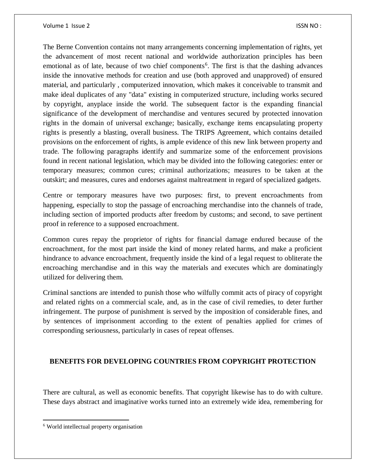The Berne Convention contains not many arrangements concerning implementation of rights, yet the advancement of most recent national and worldwide authorization principles has been emotional as of late, because of two chief components<sup>6</sup>. The first is that the dashing advances inside the innovative methods for creation and use (both approved and unapproved) of ensured material, and particularly , computerized innovation, which makes it conceivable to transmit and make ideal duplicates of any "data" existing in computerized structure, including works secured by copyright, anyplace inside the world. The subsequent factor is the expanding financial significance of the development of merchandise and ventures secured by protected innovation rights in the domain of universal exchange; basically, exchange items encapsulating property rights is presently a blasting, overall business. The TRIPS Agreement, which contains detailed provisions on the enforcement of rights, is ample evidence of this new link between property and trade. The following paragraphs identify and summarize some of the enforcement provisions found in recent national legislation, which may be divided into the following categories: enter or temporary measures; common cures; criminal authorizations; measures to be taken at the outskirt; and measures, cures and endorses against maltreatment in regard of specialized gadgets.

Centre or temporary measures have two purposes: first, to prevent encroachments from happening, especially to stop the passage of encroaching merchandise into the channels of trade, including section of imported products after freedom by customs; and second, to save pertinent proof in reference to a supposed encroachment.

Common cures repay the proprietor of rights for financial damage endured because of the encroachment, for the most part inside the kind of money related harms, and make a proficient hindrance to advance encroachment, frequently inside the kind of a legal request to obliterate the encroaching merchandise and in this way the materials and executes which are dominatingly utilized for delivering them.

Criminal sanctions are intended to punish those who wilfully commit acts of piracy of copyright and related rights on a commercial scale, and, as in the case of civil remedies, to deter further infringement. The purpose of punishment is served by the imposition of considerable fines, and by sentences of imprisonment according to the extent of penalties applied for crimes of corresponding seriousness, particularly in cases of repeat offenses.

# **BENEFITS FOR DEVELOPING COUNTRIES FROM COPYRIGHT PROTECTION**

There are cultural, as well as economic benefits. That copyright likewise has to do with culture. These days abstract and imaginative works turned into an extremely wide idea, remembering for

<sup>6</sup> World intellectual property organisation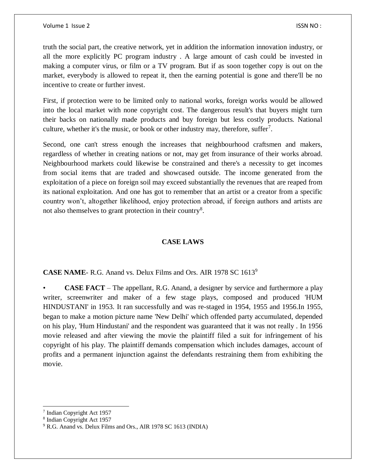truth the social part, the creative network, yet in addition the information innovation industry, or all the more explicitly PC program industry . A large amount of cash could be invested in making a computer virus, or film or a TV program. But if as soon together copy is out on the market, everybody is allowed to repeat it, then the earning potential is gone and there'll be no incentive to create or further invest.

First, if protection were to be limited only to national works, foreign works would be allowed into the local market with none copyright cost. The dangerous result's that buyers might turn their backs on nationally made products and buy foreign but less costly products. National culture, whether it's the music, or book or other industry may, therefore, suffer<sup>7</sup>.

Second, one can't stress enough the increases that neighbourhood craftsmen and makers, regardless of whether in creating nations or not, may get from insurance of their works abroad. Neighbourhood markets could likewise be constrained and there's a necessity to get incomes from social items that are traded and showcased outside. The income generated from the exploitation of a piece on foreign soil may exceed substantially the revenues that are reaped from its national exploitation. And one has got to remember that an artist or a creator from a specific country won't, altogether likelihood, enjoy protection abroad, if foreign authors and artists are not also themselves to grant protection in their country<sup>8</sup>.

# **CASE LAWS**

# **CASE NAME**- R.G. Anand vs. Delux Films and Ors. AIR 1978 SC 1613<sup>9</sup>

• **CASE FACT** – The appellant, R.G. Anand, a designer by service and furthermore a play writer, screenwriter and maker of a few stage plays, composed and produced 'HUM HINDUSTANI' in 1953. It ran successfully and was re-staged in 1954, 1955 and 1956.In 1955, began to make a motion picture name 'New Delhi' which offended party accumulated, depended on his play, 'Hum Hindustani' and the respondent was guaranteed that it was not really . In 1956 movie released and after viewing the movie the plaintiff filed a suit for infringement of his copyright of his play. The plaintiff demands compensation which includes damages, account of profits and a permanent injunction against the defendants restraining them from exhibiting the movie.

<sup>7</sup> Indian Copyright Act 1957

<sup>8</sup> Indian Copyright Act 1957

<sup>9</sup> R.G. Anand vs. Delux Films and Ors., AIR 1978 SC 1613 (INDIA)